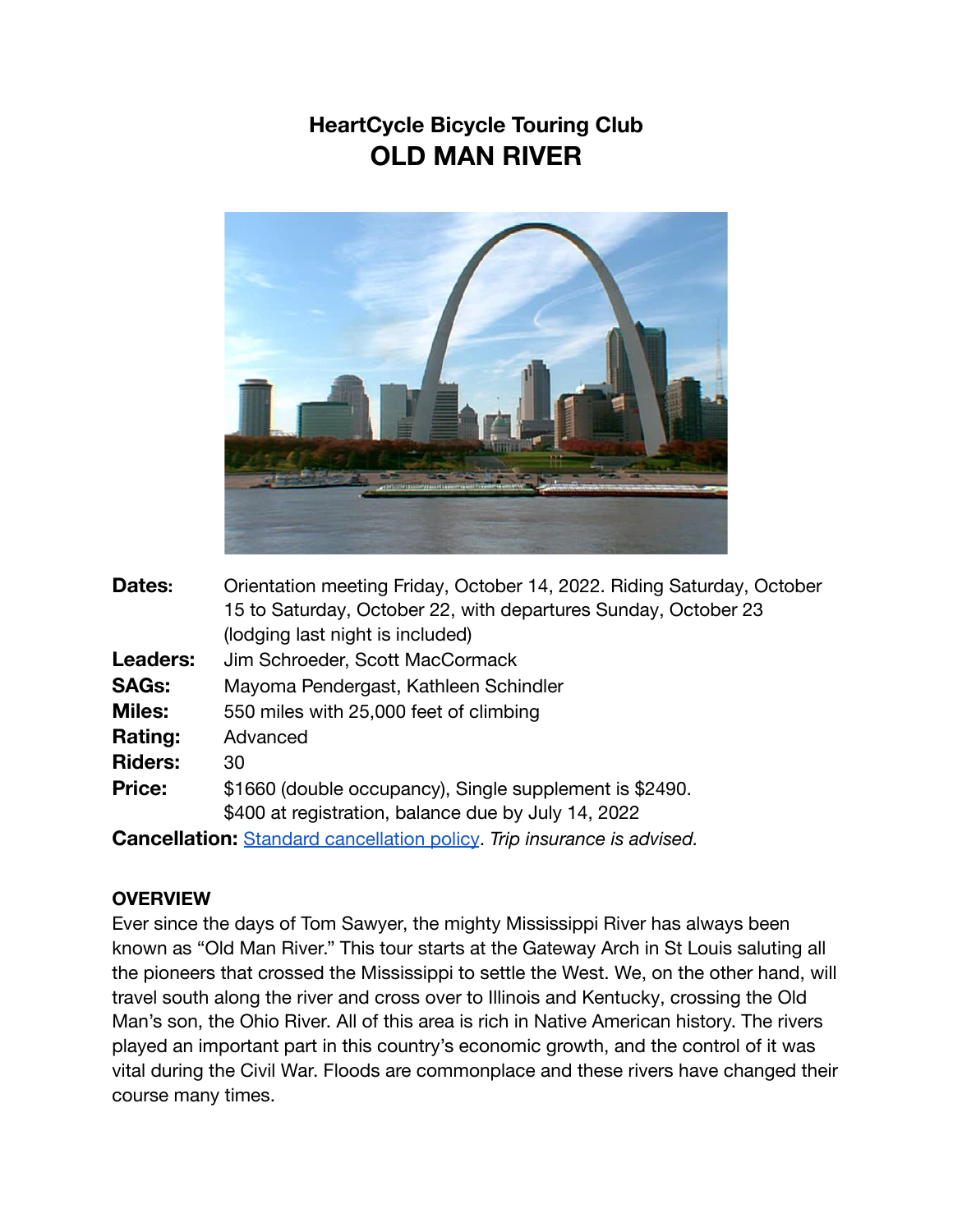## **HeartCycle Bicycle Touring Club OLD MAN RIVER**



| Dates:                                                                        | Orientation meeting Friday, October 14, 2022. Riding Saturday, October |
|-------------------------------------------------------------------------------|------------------------------------------------------------------------|
|                                                                               | 15 to Saturday, October 22, with departures Sunday, October 23         |
|                                                                               | (lodging last night is included)                                       |
| <b>Leaders:</b>                                                               | Jim Schroeder, Scott MacCormack                                        |
| <b>SAGs:</b>                                                                  | Mayoma Pendergast, Kathleen Schindler                                  |
| <b>Miles:</b>                                                                 | 550 miles with 25,000 feet of climbing                                 |
| <b>Rating:</b>                                                                | Advanced                                                               |
| <b>Riders:</b>                                                                | 30                                                                     |
| <b>Price:</b>                                                                 | \$1660 (double occupancy), Single supplement is \$2490.                |
|                                                                               | \$400 at registration, balance due by July 14, 2022                    |
| <b>Cancellation:</b> Standard cancellation policy. Trip insurance is advised. |                                                                        |

## **OVERVIEW**

Ever since the days of Tom Sawyer, the mighty Mississippi River has always been known as "Old Man River." This tour starts at the Gateway Arch in St Louis saluting all the pioneers that crossed the Mississippi to settle the West. We, on the other hand, will travel south along the river and cross over to Illinois and Kentucky, crossing the Old Man's son, the Ohio River. All of this area is rich in Native American history. The rivers played an important part in this country's economic growth, and the control of it was vital during the Civil War. Floods are commonplace and these rivers have changed their course many times.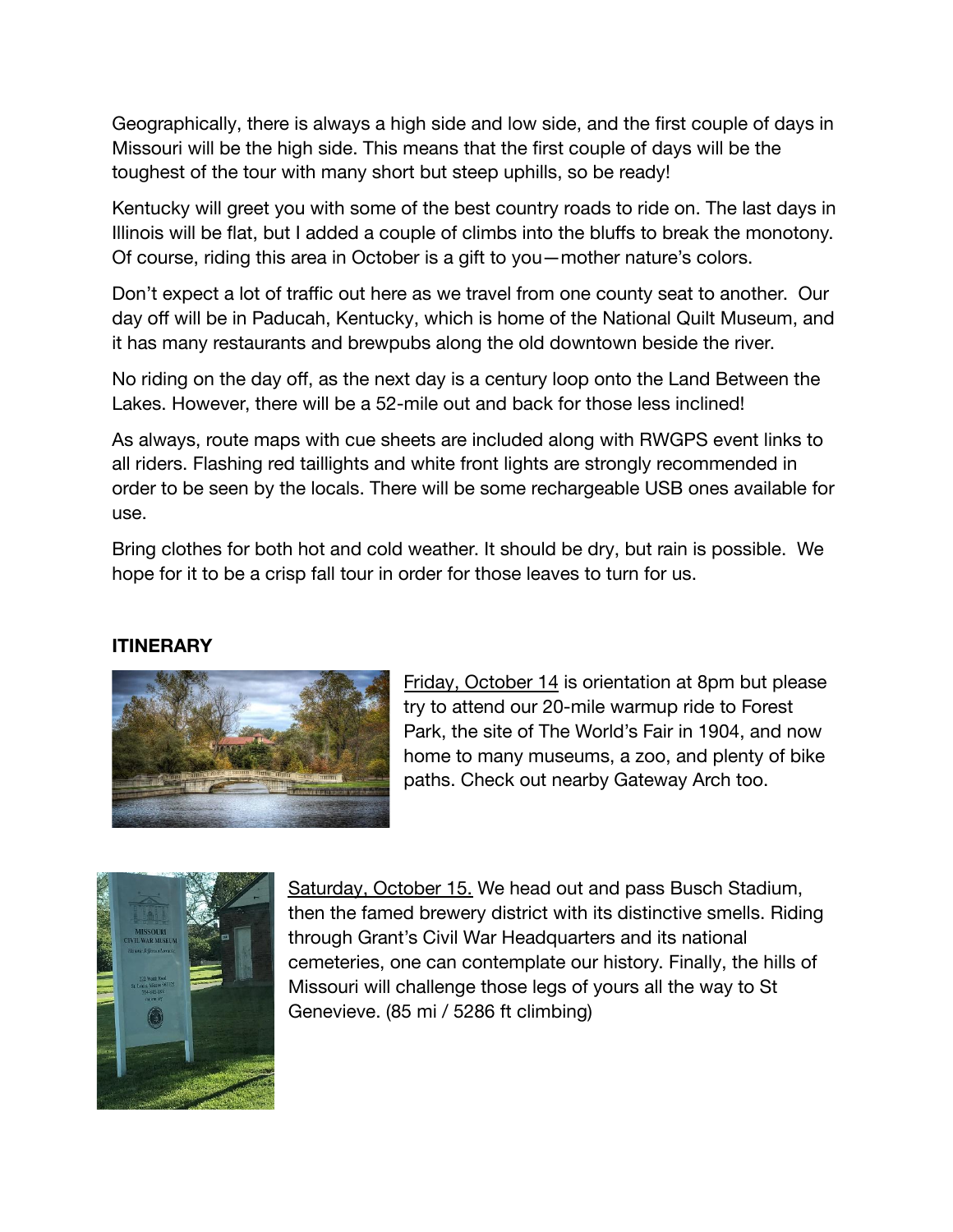Geographically, there is always a high side and low side, and the first couple of days in Missouri will be the high side. This means that the first couple of days will be the toughest of the tour with many short but steep uphills, so be ready!

Kentucky will greet you with some of the best country roads to ride on. The last days in Illinois will be flat, but I added a couple of climbs into the bluffs to break the monotony. Of course, riding this area in October is a gift to you—mother nature's colors.

Don't expect a lot of traffic out here as we travel from one county seat to another. Our day off will be in Paducah, Kentucky, which is home of the National Quilt Museum, and it has many restaurants and brewpubs along the old downtown beside the river.

No riding on the day off, as the next day is a century loop onto the Land Between the Lakes. However, there will be a 52-mile out and back for those less inclined!

As always, route maps with cue sheets are included along with RWGPS event links to all riders. Flashing red taillights and white front lights are strongly recommended in order to be seen by the locals. There will be some rechargeable USB ones available for use.

Bring clothes for both hot and cold weather. It should be dry, but rain is possible. We hope for it to be a crisp fall tour in order for those leaves to turn for us.

## **ITINERARY**



Friday, October 14 is orientation at 8pm but please try to attend our 20-mile warmup ride to Forest Park, the site of The World's Fair in 1904, and now home to many museums, a zoo, and plenty of bike paths. Check out nearby Gateway Arch too.



Saturday, October 15. We head out and pass Busch Stadium, then the famed brewery district with its distinctive smells. Riding through Grant's Civil War Headquarters and its national cemeteries, one can contemplate our history. Finally, the hills of Missouri will challenge those legs of yours all the way to St Genevieve. (85 mi / 5286 ft climbing)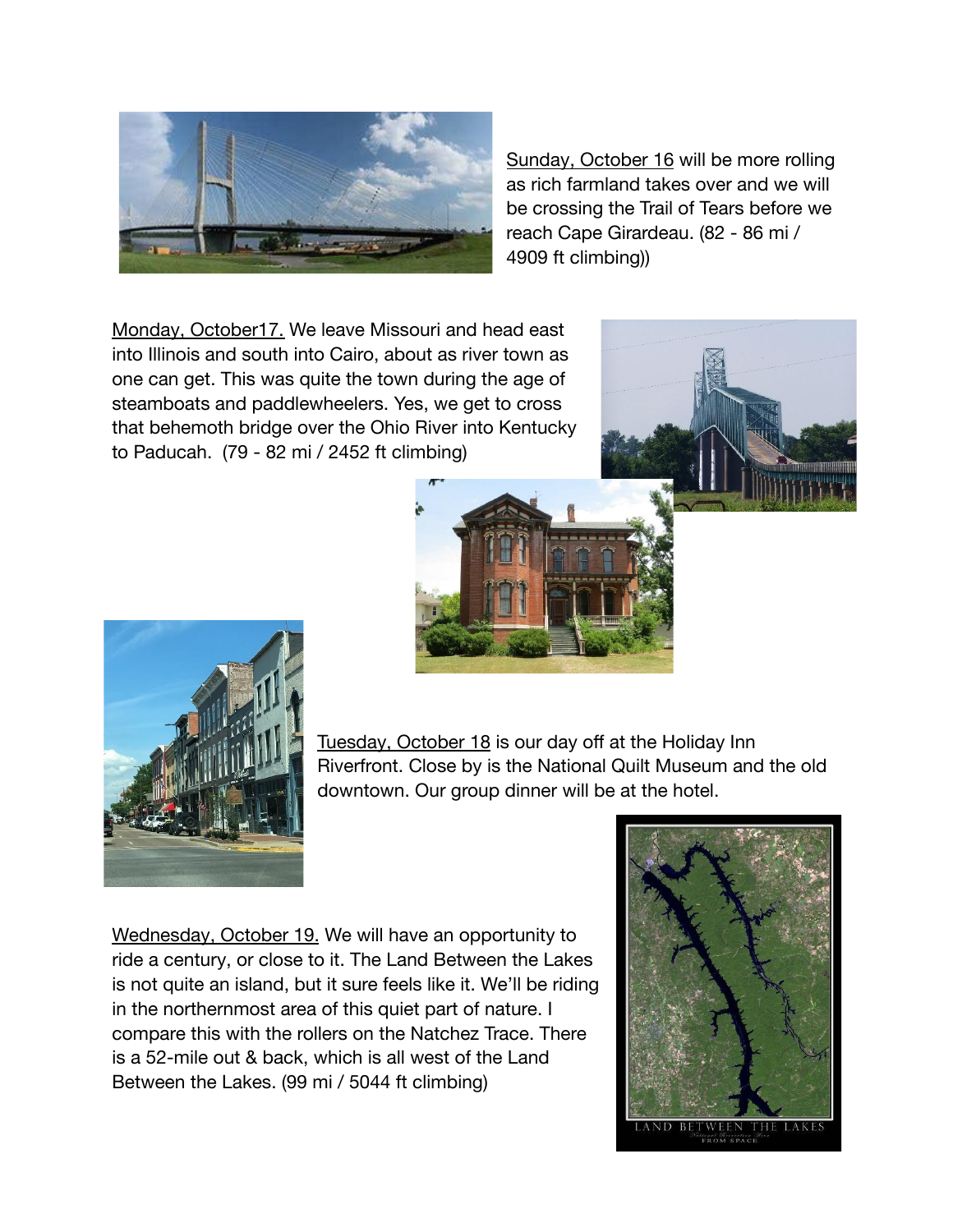

Sunday, October 16 will be more rolling as rich farmland takes over and we will be crossing the Trail of Tears before we reach Cape Girardeau. (82 - 86 mi / 4909 ft climbing))

Monday, October17. We leave Missouri and head east into Illinois and south into Cairo, about as river town as one can get. This was quite the town during the age of steamboats and paddlewheelers. Yes, we get to cross that behemoth bridge over the Ohio River into Kentucky to Paducah. (79 - 82 mi / 2452 ft climbing)





Tuesday, October 18 is our day off at the Holiday Inn Riverfront. Close by is the National Quilt Museum and the old downtown. Our group dinner will be at the hotel.

Wednesday, October 19. We will have an opportunity to ride a century, or close to it. The Land Between the Lakes is not quite an island, but it sure feels like it. We'll be riding in the northernmost area of this quiet part of nature. I compare this with the rollers on the Natchez Trace. There is a 52-mile out & back, which is all west of the Land Between the Lakes. (99 mi / 5044 ft climbing)